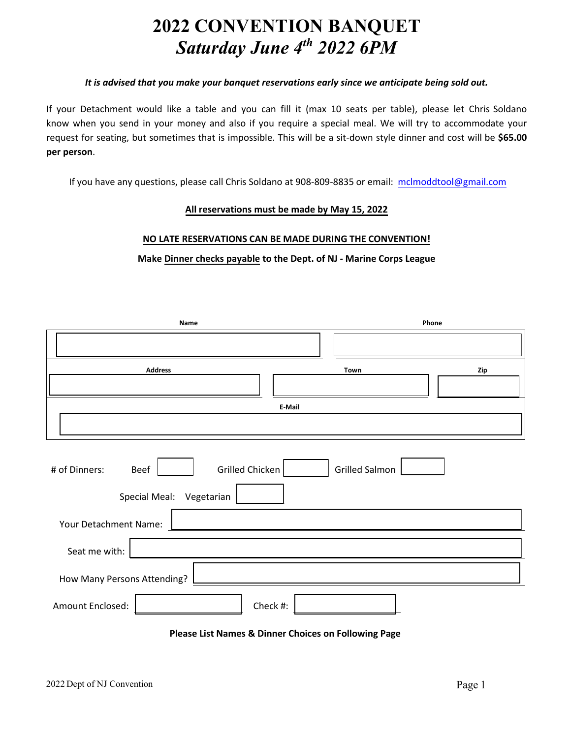## **2022 CONVENTION BANQUET** *Saturday June 4 th 2022 6PM*

## *It is advised that you make your banquet reservations early since we anticipate being sold out.*

If your Detachment would like a table and you can fill it (max 10 seats per table), please let Chris Soldano know when you send in your money and also if you require a special meal. We will try to accommodate your request for seating, but sometimes that is impossible. This will be a sit-down style dinner and cost will be **\$65.00 per person**.

If you have any questions, please call Chris Soldano at 908-809-8835 or email: mclmoddtool@gmail.com

## **All reservations must be made by May 15, 2022**

## **NO LATE RESERVATIONS CAN BE MADE DURING THE CONVENTION!**

**Make Dinner checks payable to the Dept. of NJ - Marine Corps League** 

| Name                                                                                          | Phone         |     |  |  |
|-----------------------------------------------------------------------------------------------|---------------|-----|--|--|
|                                                                                               |               |     |  |  |
| <b>Address</b>                                                                                | Town          | Zip |  |  |
|                                                                                               | <b>E-Mail</b> |     |  |  |
|                                                                                               |               |     |  |  |
| Grilled Chicken<br><b>Grilled Salmon</b><br># of Dinners:<br>Beef<br>Special Meal: Vegetarian |               |     |  |  |
| Your Detachment Name:                                                                         |               |     |  |  |
| Seat me with:                                                                                 |               |     |  |  |
| How Many Persons Attending?                                                                   |               |     |  |  |
| Amount Enclosed:<br>Check #:                                                                  |               |     |  |  |

| <b>Please List Names &amp; Dinner Choices on Following Page</b> |  |  |  |  |
|-----------------------------------------------------------------|--|--|--|--|
|-----------------------------------------------------------------|--|--|--|--|